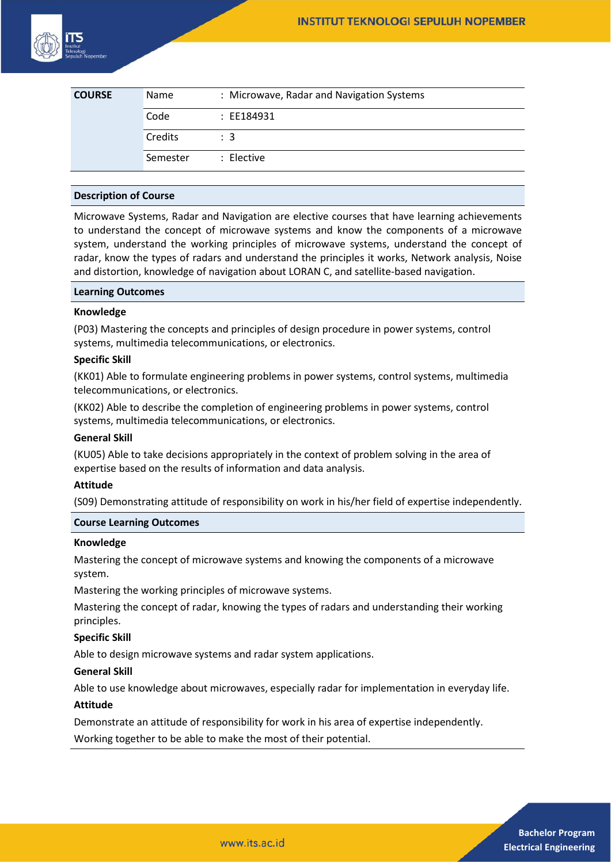

| <b>COURSE</b> | Name     | : Microwave, Radar and Navigation Systems |
|---------------|----------|-------------------------------------------|
|               | Code     | : EE184931                                |
|               | Credits  | $\therefore$ 3                            |
|               | Semester | : Elective                                |

## **Description of Course**

Microwave Systems, Radar and Navigation are elective courses that have learning achievements to understand the concept of microwave systems and know the components of a microwave system, understand the working principles of microwave systems, understand the concept of radar, know the types of radars and understand the principles it works, Network analysis, Noise and distortion, knowledge of navigation about LORAN C, and satellite-based navigation.

#### **Learning Outcomes**

#### **Knowledge**

(P03) Mastering the concepts and principles of design procedure in power systems, control systems, multimedia telecommunications, or electronics.

## **Specific Skill**

(KK01) Able to formulate engineering problems in power systems, control systems, multimedia telecommunications, or electronics.

(KK02) Able to describe the completion of engineering problems in power systems, control systems, multimedia telecommunications, or electronics.

## **General Skill**

(KU05) Able to take decisions appropriately in the context of problem solving in the area of expertise based on the results of information and data analysis.

## **Attitude**

(S09) Demonstrating attitude of responsibility on work in his/her field of expertise independently.

## **Course Learning Outcomes**

#### **Knowledge**

Mastering the concept of microwave systems and knowing the components of a microwave system.

Mastering the working principles of microwave systems.

Mastering the concept of radar, knowing the types of radars and understanding their working principles.

## **Specific Skill**

Able to design microwave systems and radar system applications.

### **General Skill**

Able to use knowledge about microwaves, especially radar for implementation in everyday life.

#### **Attitude**

Demonstrate an attitude of responsibility for work in his area of expertise independently.

Working together to be able to make the most of their potential.